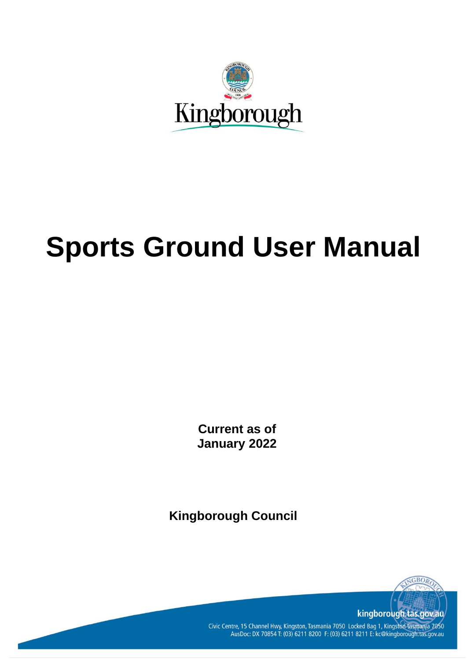

# **Sports Ground User Manual**

**Current as of January 2022**

**Kingborough Council**



Civic Centre, 15 Channel Hwy, Kingston, Tasmania 7050 Locked Bag 1, Kingston Tasmania 7050<br>AusDoc: DX 70854 T: (03) 6211 8200 F: (03) 6211 8211 E: kc@kingborough.tas.gov.au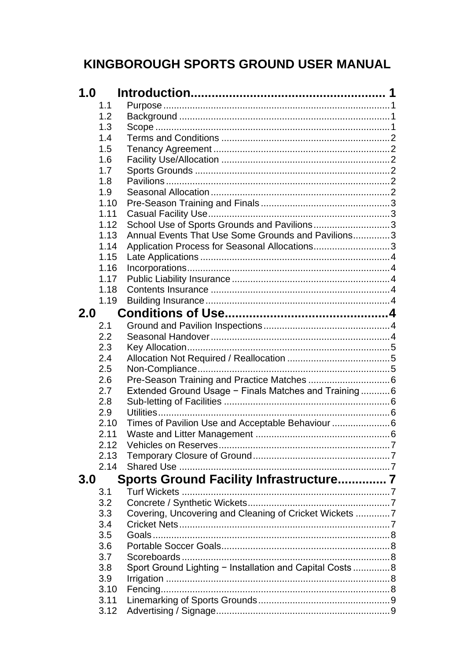## KINGBOROUGH SPORTS GROUND USER MANUAL

| 1.0 |      |                                                           |  |
|-----|------|-----------------------------------------------------------|--|
|     | 1.1  |                                                           |  |
|     | 1.2  |                                                           |  |
|     | 1.3  |                                                           |  |
|     | 1.4  |                                                           |  |
|     | 1.5  |                                                           |  |
|     | 1.6  |                                                           |  |
|     | 1.7  |                                                           |  |
|     | 1.8  |                                                           |  |
|     | 1.9  |                                                           |  |
|     | 1.10 |                                                           |  |
|     | 1.11 |                                                           |  |
|     | 1.12 | School Use of Sports Grounds and Pavilions3               |  |
|     | 1.13 | Annual Events That Use Some Grounds and Pavilions3        |  |
|     | 1.14 | Application Process for Seasonal Allocations3             |  |
|     | 1.15 |                                                           |  |
|     | 1.16 |                                                           |  |
|     | 1.17 |                                                           |  |
|     | 1.18 |                                                           |  |
|     | 1.19 |                                                           |  |
|     |      |                                                           |  |
| 2.0 |      |                                                           |  |
|     | 2.1  |                                                           |  |
|     | 2.2  |                                                           |  |
|     | 2.3  |                                                           |  |
|     | 2.4  |                                                           |  |
|     | 2.5  |                                                           |  |
|     | 2.6  |                                                           |  |
|     | 2.7  | Extended Ground Usage - Finals Matches and Training 6     |  |
|     | 2.8  |                                                           |  |
|     | 2.9  |                                                           |  |
|     | 2.10 | Times of Pavilion Use and Acceptable Behaviour  6         |  |
|     | 2.11 |                                                           |  |
|     | 2.12 |                                                           |  |
|     | 2.13 |                                                           |  |
|     | 2.14 |                                                           |  |
| 3.0 |      | Sports Ground Facility Infrastructure 7                   |  |
|     | 3.1  |                                                           |  |
|     | 3.2  |                                                           |  |
|     | 3.3  | Covering, Uncovering and Cleaning of Cricket Wickets 7    |  |
|     | 3.4  |                                                           |  |
|     | 3.5  |                                                           |  |
|     | 3.6  |                                                           |  |
|     |      |                                                           |  |
|     | 3.7  |                                                           |  |
|     | 3.8  | Sport Ground Lighting - Installation and Capital Costs  8 |  |
|     | 3.9  |                                                           |  |
|     | 3.10 |                                                           |  |
|     | 3.11 |                                                           |  |
|     | 3.12 |                                                           |  |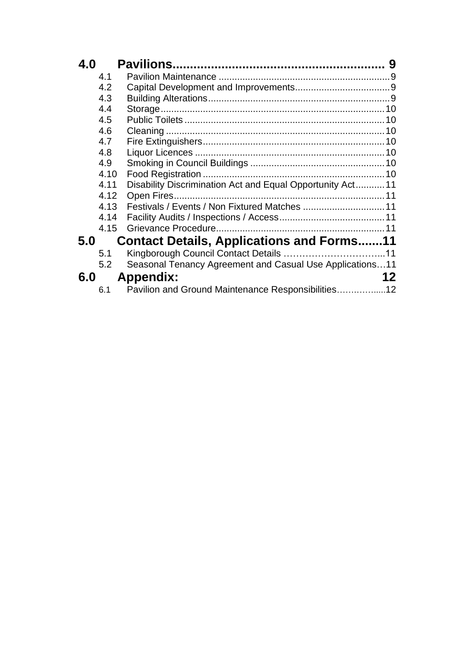| 4.0 |      |                                                            | 9  |
|-----|------|------------------------------------------------------------|----|
|     | 4.1  |                                                            |    |
|     | 4.2  |                                                            |    |
|     | 4.3  |                                                            |    |
|     | 4.4  |                                                            |    |
|     | 4.5  |                                                            | 10 |
|     | 4.6  |                                                            |    |
|     | 4.7  |                                                            |    |
|     | 4.8  |                                                            |    |
|     | 4.9  |                                                            |    |
|     | 4.10 |                                                            |    |
|     | 4.11 | Disability Discrimination Act and Equal Opportunity Act 11 |    |
|     | 4.12 |                                                            |    |
|     | 4.13 |                                                            |    |
|     | 4.14 |                                                            |    |
|     | 4.15 |                                                            |    |
| 5.0 |      | <b>Contact Details, Applications and Forms11</b>           |    |
|     | 5.1  |                                                            |    |
|     | 5.2  | Seasonal Tenancy Agreement and Casual Use Applications11   |    |
| 6.0 |      | <b>Appendix:</b>                                           | 12 |
|     | 6.1  | Pavilion and Ground Maintenance Responsibilities12         |    |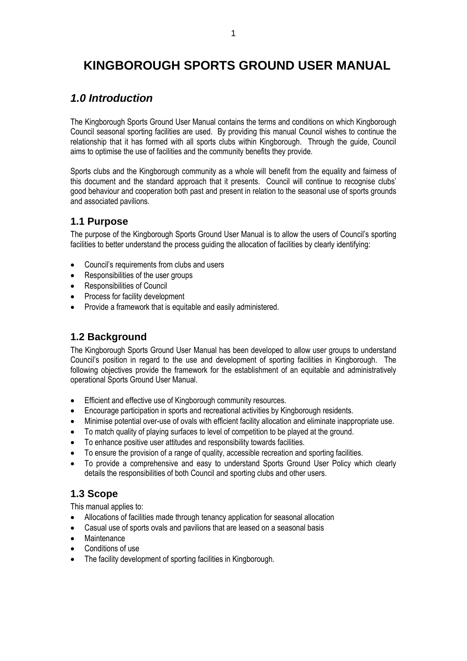## **KINGBOROUGH SPORTS GROUND USER MANUAL**

## <span id="page-4-0"></span>*1.0 Introduction*

The Kingborough Sports Ground User Manual contains the terms and conditions on which Kingborough Council seasonal sporting facilities are used. By providing this manual Council wishes to continue the relationship that it has formed with all sports clubs within Kingborough. Through the guide, Council aims to optimise the use of facilities and the community benefits they provide.

Sports clubs and the Kingborough community as a whole will benefit from the equality and fairness of this document and the standard approach that it presents. Council will continue to recognise clubs' good behaviour and cooperation both past and present in relation to the seasonal use of sports grounds and associated pavilions.

#### <span id="page-4-1"></span>**1.1 Purpose**

The purpose of the Kingborough Sports Ground User Manual is to allow the users of Council's sporting facilities to better understand the process guiding the allocation of facilities by clearly identifying:

- Council's requirements from clubs and users
- Responsibilities of the user groups
- Responsibilities of Council
- Process for facility development
- Provide a framework that is equitable and easily administered.

#### <span id="page-4-2"></span>**1.2 Background**

The Kingborough Sports Ground User Manual has been developed to allow user groups to understand Council's position in regard to the use and development of sporting facilities in Kingborough. The following objectives provide the framework for the establishment of an equitable and administratively operational Sports Ground User Manual.

- Efficient and effective use of Kingborough community resources.
- Encourage participation in sports and recreational activities by Kingborough residents.
- Minimise potential over-use of ovals with efficient facility allocation and eliminate inappropriate use.
- To match quality of playing surfaces to level of competition to be played at the ground.
- To enhance positive user attitudes and responsibility towards facilities.
- To ensure the provision of a range of quality, accessible recreation and sporting facilities.
- To provide a comprehensive and easy to understand Sports Ground User Policy which clearly details the responsibilities of both Council and sporting clubs and other users.

#### <span id="page-4-3"></span>**1.3 Scope**

This manual applies to:

- Allocations of facilities made through tenancy application for seasonal allocation
- Casual use of sports ovals and pavilions that are leased on a seasonal basis
- Maintenance
- Conditions of use
- The facility development of sporting facilities in Kingborough.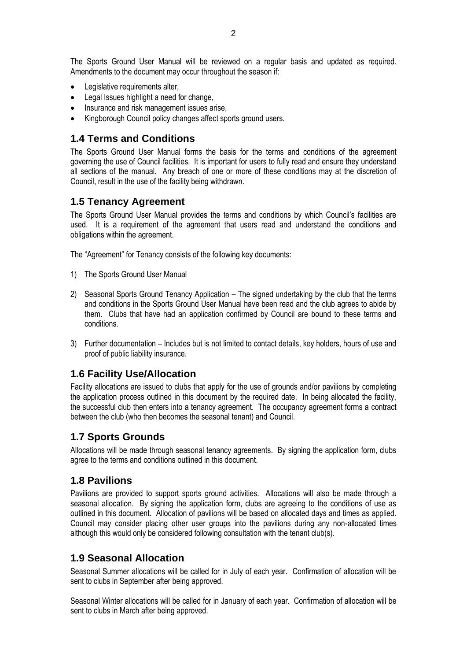The Sports Ground User Manual will be reviewed on a regular basis and updated as required. Amendments to the document may occur throughout the season if:

- Legislative requirements alter,
- Legal Issues highlight a need for change,
- Insurance and risk management issues arise,
- Kingborough Council policy changes affect sports ground users.

#### <span id="page-5-0"></span>**1.4 Terms and Conditions**

The Sports Ground User Manual forms the basis for the terms and conditions of the agreement governing the use of Council facilities. It is important for users to fully read and ensure they understand all sections of the manual. Any breach of one or more of these conditions may at the discretion of Council, result in the use of the facility being withdrawn.

#### <span id="page-5-1"></span>**1.5 Tenancy Agreement**

The Sports Ground User Manual provides the terms and conditions by which Council's facilities are used. It is a requirement of the agreement that users read and understand the conditions and obligations within the agreement.

The "Agreement" for Tenancy consists of the following key documents:

- 1) The Sports Ground User Manual
- 2) Seasonal Sports Ground Tenancy Application The signed undertaking by the club that the terms and conditions in the Sports Ground User Manual have been read and the club agrees to abide by them. Clubs that have had an application confirmed by Council are bound to these terms and conditions.
- 3) Further documentation Includes but is not limited to contact details, key holders, hours of use and proof of public liability insurance.

#### <span id="page-5-2"></span>**1.6 Facility Use/Allocation**

Facility allocations are issued to clubs that apply for the use of grounds and/or pavilions by completing the application process outlined in this document by the required date. In being allocated the facility, the successful club then enters into a tenancy agreement. The occupancy agreement forms a contract between the club (who then becomes the seasonal tenant) and Council.

#### <span id="page-5-3"></span>**1.7 Sports Grounds**

Allocations will be made through seasonal tenancy agreements. By signing the application form, clubs agree to the terms and conditions outlined in this document.

#### <span id="page-5-4"></span>**1.8 Pavilions**

Pavilions are provided to support sports ground activities. Allocations will also be made through a seasonal allocation. By signing the application form, clubs are agreeing to the conditions of use as outlined in this document. Allocation of pavilions will be based on allocated days and times as applied. Council may consider placing other user groups into the pavilions during any non-allocated times although this would only be considered following consultation with the tenant club(s).

#### <span id="page-5-5"></span>**1.9 Seasonal Allocation**

Seasonal Summer allocations will be called for in July of each year. Confirmation of allocation will be sent to clubs in September after being approved.

Seasonal Winter allocations will be called for in January of each year. Confirmation of allocation will be sent to clubs in March after being approved.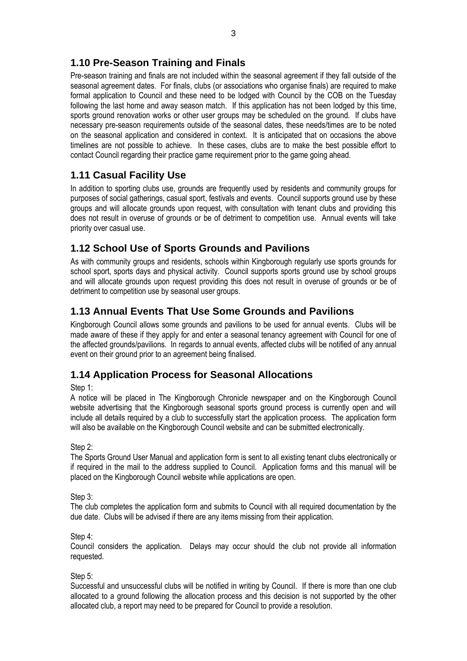## <span id="page-6-0"></span>**1.10 Pre-Season Training and Finals**

Pre-season training and finals are not included within the seasonal agreement if they fall outside of the seasonal agreement dates. For finals, clubs (or associations who organise finals) are required to make formal application to Council and these need to be lodged with Council by the COB on the Tuesday following the last home and away season match. If this application has not been lodged by this time, sports ground renovation works or other user groups may be scheduled on the ground. If clubs have necessary pre-season requirements outside of the seasonal dates, these needs/times are to be noted on the seasonal application and considered in context. It is anticipated that on occasions the above timelines are not possible to achieve. In these cases, clubs are to make the best possible effort to contact Council regarding their practice game requirement prior to the game going ahead.

## <span id="page-6-1"></span>**1.11 Casual Facility Use**

In addition to sporting clubs use, grounds are frequently used by residents and community groups for purposes of social gatherings, casual sport, festivals and events. Council supports ground use by these groups and will allocate grounds upon request, with consultation with tenant clubs and providing this does not result in overuse of grounds or be of detriment to competition use. Annual events will take priority over casual use.

## <span id="page-6-2"></span>**1.12 School Use of Sports Grounds and Pavilions**

As with community groups and residents, schools within Kingborough regularly use sports grounds for school sport, sports days and physical activity. Council supports sports ground use by school groups and will allocate grounds upon request providing this does not result in overuse of grounds or be of detriment to competition use by seasonal user groups.

## <span id="page-6-3"></span>**1.13 Annual Events That Use Some Grounds and Pavilions**

Kingborough Council allows some grounds and pavilions to be used for annual events. Clubs will be made aware of these if they apply for and enter a seasonal tenancy agreement with Council for one of the affected grounds/pavilions. In regards to annual events, affected clubs will be notified of any annual event on their ground prior to an agreement being finalised.

## <span id="page-6-4"></span>**1.14 Application Process for Seasonal Allocations**

Step 1:

A notice will be placed in The Kingborough Chronicle newspaper and on the Kingborough Council website advertising that the Kingborough seasonal sports ground process is currently open and will include all details required by a club to successfully start the application process. The application form will also be available on the Kingborough Council website and can be submitted electronically.

Step 2:

The Sports Ground User Manual and application form is sent to all existing tenant clubs electronically or if required in the mail to the address supplied to Council. Application forms and this manual will be placed on the Kingborough Council website while applications are open.

Step 3:

The club completes the application form and submits to Council with all required documentation by the due date. Clubs will be advised if there are any items missing from their application.

#### Step 4:

Council considers the application. Delays may occur should the club not provide all information requested.

Step 5:

Successful and unsuccessful clubs will be notified in writing by Council. If there is more than one club allocated to a ground following the allocation process and this decision is not supported by the other allocated club, a report may need to be prepared for Council to provide a resolution.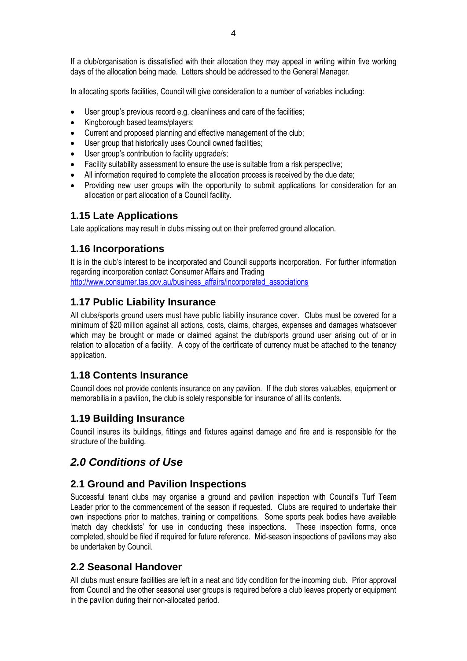If a club/organisation is dissatisfied with their allocation they may appeal in writing within five working days of the allocation being made. Letters should be addressed to the General Manager.

In allocating sports facilities, Council will give consideration to a number of variables including:

- User group's previous record e.g. cleanliness and care of the facilities;
- Kingborough based teams/players;
- Current and proposed planning and effective management of the club;
- User group that historically uses Council owned facilities:
- User group's contribution to facility upgrade/s;
- Facility suitability assessment to ensure the use is suitable from a risk perspective;
- All information required to complete the allocation process is received by the due date;
- Providing new user groups with the opportunity to submit applications for consideration for an allocation or part allocation of a Council facility.

#### <span id="page-7-0"></span>**1.15 Late Applications**

Late applications may result in clubs missing out on their preferred ground allocation.

#### <span id="page-7-1"></span>**1.16 Incorporations**

It is in the club's interest to be incorporated and Council supports incorporation. For further information regarding incorporation contact Consumer Affairs and Trading [http://www.consumer.tas.gov.au/business\\_affairs/incorporated\\_associations](http://www.consumer.tas.gov.au/business_affairs/incorporated_associations)

#### <span id="page-7-2"></span>**1.17 Public Liability Insurance**

All clubs/sports ground users must have public liability insurance cover. Clubs must be covered for a minimum of \$20 million against all actions, costs, claims, charges, expenses and damages whatsoever which may be brought or made or claimed against the club/sports ground user arising out of or in relation to allocation of a facility. A copy of the certificate of currency must be attached to the tenancy application.

#### <span id="page-7-3"></span>**1.18 Contents Insurance**

Council does not provide contents insurance on any pavilion. If the club stores valuables, equipment or memorabilia in a pavilion, the club is solely responsible for insurance of all its contents.

#### <span id="page-7-4"></span>**1.19 Building Insurance**

Council insures its buildings, fittings and fixtures against damage and fire and is responsible for the structure of the building.

## <span id="page-7-5"></span>*2.0 Conditions of Use*

#### <span id="page-7-6"></span>**2.1 Ground and Pavilion Inspections**

Successful tenant clubs may organise a ground and pavilion inspection with Council's Turf Team Leader prior to the commencement of the season if requested. Clubs are required to undertake their own inspections prior to matches, training or competitions. Some sports peak bodies have available 'match day checklists' for use in conducting these inspections. These inspection forms, once completed, should be filed if required for future reference. Mid-season inspections of pavilions may also be undertaken by Council.

#### <span id="page-7-7"></span>**2.2 Seasonal Handover**

All clubs must ensure facilities are left in a neat and tidy condition for the incoming club. Prior approval from Council and the other seasonal user groups is required before a club leaves property or equipment in the pavilion during their non-allocated period.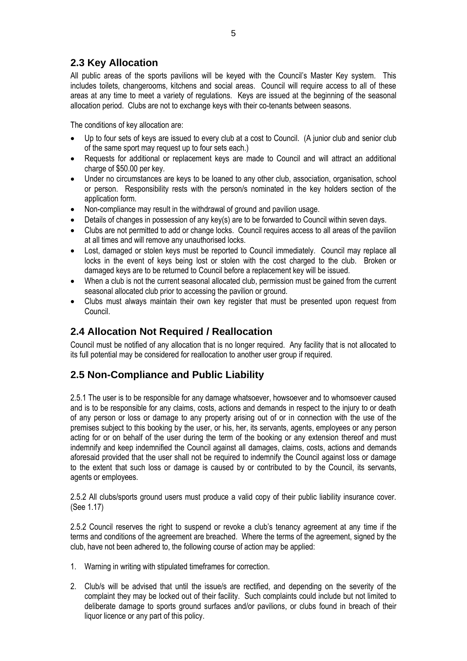## <span id="page-8-0"></span>**2.3 Key Allocation**

All public areas of the sports pavilions will be keyed with the Council's Master Key system. This includes toilets, changerooms, kitchens and social areas. Council will require access to all of these areas at any time to meet a variety of regulations. Keys are issued at the beginning of the seasonal allocation period. Clubs are not to exchange keys with their co-tenants between seasons.

The conditions of key allocation are:

- Up to four sets of keys are issued to every club at a cost to Council. (A junior club and senior club of the same sport may request up to four sets each.)
- Requests for additional or replacement keys are made to Council and will attract an additional charge of \$50.00 per key.
- Under no circumstances are keys to be loaned to any other club, association, organisation, school or person. Responsibility rests with the person/s nominated in the key holders section of the application form.
- Non-compliance may result in the withdrawal of ground and pavilion usage.
- Details of changes in possession of any key(s) are to be forwarded to Council within seven days.
- Clubs are not permitted to add or change locks. Council requires access to all areas of the pavilion at all times and will remove any unauthorised locks.
- Lost, damaged or stolen keys must be reported to Council immediately. Council may replace all locks in the event of keys being lost or stolen with the cost charged to the club. Broken or damaged keys are to be returned to Council before a replacement key will be issued.
- When a club is not the current seasonal allocated club, permission must be gained from the current seasonal allocated club prior to accessing the pavilion or ground.
- Clubs must always maintain their own key register that must be presented upon request from Council.

#### <span id="page-8-1"></span>**2.4 Allocation Not Required / Reallocation**

<span id="page-8-2"></span>Council must be notified of any allocation that is no longer required. Any facility that is not allocated to its full potential may be considered for reallocation to another user group if required.

## **2.5 Non-Compliance and Public Liability**

2.5.1 The user is to be responsible for any damage whatsoever, howsoever and to whomsoever caused and is to be responsible for any claims, costs, actions and demands in respect to the injury to or death of any person or loss or damage to any property arising out of or in connection with the use of the premises subject to this booking by the user, or his, her, its servants, agents, employees or any person acting for or on behalf of the user during the term of the booking or any extension thereof and must indemnify and keep indemnified the Council against all damages, claims, costs, actions and demands aforesaid provided that the user shall not be required to indemnify the Council against loss or damage to the extent that such loss or damage is caused by or contributed to by the Council, its servants, agents or employees.

2.5.2 All clubs/sports ground users must produce a valid copy of their public liability insurance cover. (See 1.17)

2.5.2 Council reserves the right to suspend or revoke a club's tenancy agreement at any time if the terms and conditions of the agreement are breached. Where the terms of the agreement, signed by the club, have not been adhered to, the following course of action may be applied:

- 1. Warning in writing with stipulated timeframes for correction.
- 2. Club/s will be advised that until the issue/s are rectified, and depending on the severity of the complaint they may be locked out of their facility. Such complaints could include but not limited to deliberate damage to sports ground surfaces and/or pavilions, or clubs found in breach of their liquor licence or any part of this policy.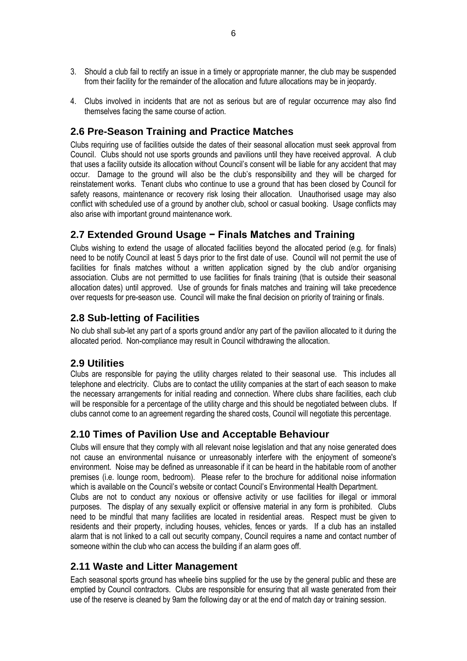- 3. Should a club fail to rectify an issue in a timely or appropriate manner, the club may be suspended from their facility for the remainder of the allocation and future allocations may be in jeopardy.
- 4. Clubs involved in incidents that are not as serious but are of regular occurrence may also find themselves facing the same course of action.

#### <span id="page-9-0"></span>**2.6 Pre-Season Training and Practice Matches**

Clubs requiring use of facilities outside the dates of their seasonal allocation must seek approval from Council. Clubs should not use sports grounds and pavilions until they have received approval. A club that uses a facility outside its allocation without Council's consent will be liable for any accident that may occur. Damage to the ground will also be the club's responsibility and they will be charged for reinstatement works. Tenant clubs who continue to use a ground that has been closed by Council for safety reasons, maintenance or recovery risk losing their allocation. Unauthorised usage may also conflict with scheduled use of a ground by another club, school or casual booking. Usage conflicts may also arise with important ground maintenance work.

#### <span id="page-9-1"></span>**2.7 Extended Ground Usage − Finals Matches and Training**

Clubs wishing to extend the usage of allocated facilities beyond the allocated period (e.g. for finals) need to be notify Council at least 5 days prior to the first date of use. Council will not permit the use of facilities for finals matches without a written application signed by the club and/or organising association. Clubs are not permitted to use facilities for finals training (that is outside their seasonal allocation dates) until approved. Use of grounds for finals matches and training will take precedence over requests for pre-season use. Council will make the final decision on priority of training or finals.

#### <span id="page-9-2"></span>**2.8 Sub-letting of Facilities**

No club shall sub-let any part of a sports ground and/or any part of the pavilion allocated to it during the allocated period. Non-compliance may result in Council withdrawing the allocation.

#### <span id="page-9-3"></span>**2.9 Utilities**

Clubs are responsible for paying the utility charges related to their seasonal use. This includes all telephone and electricity. Clubs are to contact the utility companies at the start of each season to make the necessary arrangements for initial reading and connection. Where clubs share facilities, each club will be responsible for a percentage of the utility charge and this should be negotiated between clubs. If clubs cannot come to an agreement regarding the shared costs, Council will negotiate this percentage.

#### <span id="page-9-4"></span>**2.10 Times of Pavilion Use and Acceptable Behaviour**

Clubs will ensure that they comply with all relevant noise legislation and that any noise generated does not cause an environmental nuisance or unreasonably interfere with the enjoyment of someone's environment. Noise may be defined as unreasonable if it can be heard in the habitable room of another premises (i.e. lounge room, bedroom). Please refer to the brochure for additional noise information which is available on the Council's website or contact Council's Environmental Health Department. Clubs are not to conduct any noxious or offensive activity or use facilities for illegal or immoral purposes. The display of any sexually explicit or offensive material in any form is prohibited. Clubs need to be mindful that many facilities are located in residential areas. Respect must be given to residents and their property, including houses, vehicles, fences or yards. If a club has an installed alarm that is not linked to a call out security company, Council requires a name and contact number of someone within the club who can access the building if an alarm goes off.

#### <span id="page-9-5"></span>**2.11 Waste and Litter Management**

Each seasonal sports ground has wheelie bins supplied for the use by the general public and these are emptied by Council contractors. Clubs are responsible for ensuring that all waste generated from their use of the reserve is cleaned by 9am the following day or at the end of match day or training session.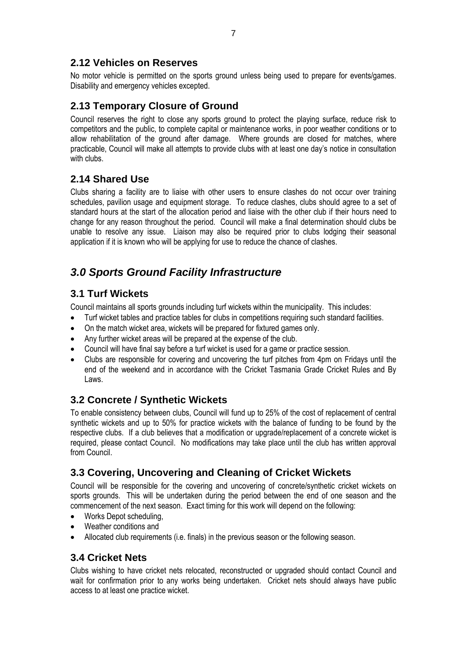#### <span id="page-10-0"></span>**2.12 Vehicles on Reserves**

No motor vehicle is permitted on the sports ground unless being used to prepare for events/games. Disability and emergency vehicles excepted.

## <span id="page-10-1"></span>**2.13 Temporary Closure of Ground**

Council reserves the right to close any sports ground to protect the playing surface, reduce risk to competitors and the public, to complete capital or maintenance works, in poor weather conditions or to allow rehabilitation of the ground after damage. Where grounds are closed for matches, where practicable, Council will make all attempts to provide clubs with at least one day's notice in consultation with clubs.

#### <span id="page-10-2"></span>**2.14 Shared Use**

Clubs sharing a facility are to liaise with other users to ensure clashes do not occur over training schedules, pavilion usage and equipment storage. To reduce clashes, clubs should agree to a set of standard hours at the start of the allocation period and liaise with the other club if their hours need to change for any reason throughout the period. Council will make a final determination should clubs be unable to resolve any issue. Liaison may also be required prior to clubs lodging their seasonal application if it is known who will be applying for use to reduce the chance of clashes.

## <span id="page-10-3"></span>*3.0 Sports Ground Facility Infrastructure*

## <span id="page-10-4"></span>**3.1 Turf Wickets**

Council maintains all sports grounds including turf wickets within the municipality. This includes:

- Turf wicket tables and practice tables for clubs in competitions requiring such standard facilities.
- On the match wicket area, wickets will be prepared for fixtured games only.
- Any further wicket areas will be prepared at the expense of the club.
- Council will have final say before a turf wicket is used for a game or practice session.
- Clubs are responsible for covering and uncovering the turf pitches from 4pm on Fridays until the end of the weekend and in accordance with the Cricket Tasmania Grade Cricket Rules and By Laws.

## <span id="page-10-5"></span>**3.2 Concrete / Synthetic Wickets**

To enable consistency between clubs, Council will fund up to 25% of the cost of replacement of central synthetic wickets and up to 50% for practice wickets with the balance of funding to be found by the respective clubs. If a club believes that a modification or upgrade/replacement of a concrete wicket is required, please contact Council. No modifications may take place until the club has written approval from Council.

## <span id="page-10-6"></span>**3.3 Covering, Uncovering and Cleaning of Cricket Wickets**

Council will be responsible for the covering and uncovering of concrete/synthetic cricket wickets on sports grounds. This will be undertaken during the period between the end of one season and the commencement of the next season. Exact timing for this work will depend on the following:

- Works Depot scheduling,
- Weather conditions and
- Allocated club requirements (i.e. finals) in the previous season or the following season.

## <span id="page-10-7"></span>**3.4 Cricket Nets**

Clubs wishing to have cricket nets relocated, reconstructed or upgraded should contact Council and wait for confirmation prior to any works being undertaken. Cricket nets should always have public access to at least one practice wicket.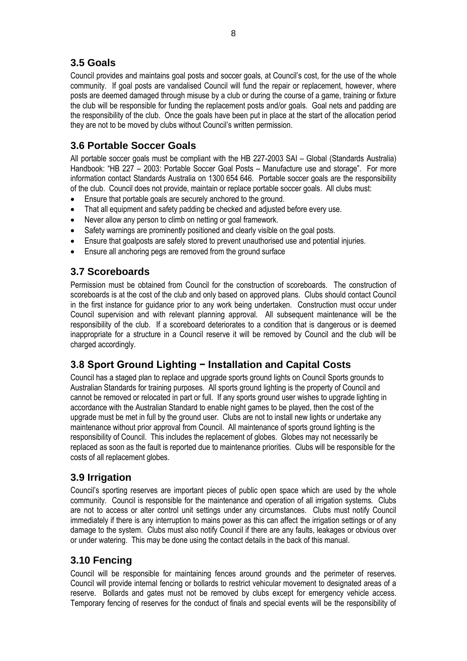## <span id="page-11-0"></span>**3.5 Goals**

Council provides and maintains goal posts and soccer goals, at Council's cost, for the use of the whole community. If goal posts are vandalised Council will fund the repair or replacement, however, where posts are deemed damaged through misuse by a club or during the course of a game, training or fixture the club will be responsible for funding the replacement posts and/or goals. Goal nets and padding are the responsibility of the club. Once the goals have been put in place at the start of the allocation period they are not to be moved by clubs without Council's written permission.

## <span id="page-11-1"></span>**3.6 Portable Soccer Goals**

All portable soccer goals must be compliant with the HB 227-2003 SAI – Global (Standards Australia) Handbook: "HB 227 – 2003: Portable Soccer Goal Posts – Manufacture use and storage". For more information contact Standards Australia on 1300 654 646. Portable soccer goals are the responsibility of the club. Council does not provide, maintain or replace portable soccer goals. All clubs must:

- Ensure that portable goals are securely anchored to the ground.
- That all equipment and safety padding be checked and adjusted before every use.
- Never allow any person to climb on netting or goal framework.
- Safety warnings are prominently positioned and clearly visible on the goal posts.
- Ensure that goalposts are safely stored to prevent unauthorised use and potential injuries.
- Ensure all anchoring pegs are removed from the ground surface

#### <span id="page-11-2"></span>**3.7 Scoreboards**

Permission must be obtained from Council for the construction of scoreboards. The construction of scoreboards is at the cost of the club and only based on approved plans. Clubs should contact Council in the first instance for guidance prior to any work being undertaken. Construction must occur under Council supervision and with relevant planning approval. All subsequent maintenance will be the responsibility of the club. If a scoreboard deteriorates to a condition that is dangerous or is deemed inappropriate for a structure in a Council reserve it will be removed by Council and the club will be charged accordingly.

## <span id="page-11-3"></span>**3.8 Sport Ground Lighting − Installation and Capital Costs**

Council has a staged plan to replace and upgrade sports ground lights on Council Sports grounds to Australian Standards for training purposes. All sports ground lighting is the property of Council and cannot be removed or relocated in part or full. If any sports ground user wishes to upgrade lighting in accordance with the Australian Standard to enable night games to be played, then the cost of the upgrade must be met in full by the ground user. Clubs are not to install new lights or undertake any maintenance without prior approval from Council. All maintenance of sports ground lighting is the responsibility of Council. This includes the replacement of globes. Globes may not necessarily be replaced as soon as the fault is reported due to maintenance priorities. Clubs will be responsible for the costs of all replacement globes.

## <span id="page-11-4"></span>**3.9 Irrigation**

Council's sporting reserves are important pieces of public open space which are used by the whole community. Council is responsible for the maintenance and operation of all irrigation systems. Clubs are not to access or alter control unit settings under any circumstances. Clubs must notify Council immediately if there is any interruption to mains power as this can affect the irrigation settings or of any damage to the system. Clubs must also notify Council if there are any faults, leakages or obvious over or under watering. This may be done using the contact details in the back of this manual.

## <span id="page-11-5"></span>**3.10 Fencing**

Council will be responsible for maintaining fences around grounds and the perimeter of reserves. Council will provide internal fencing or bollards to restrict vehicular movement to designated areas of a reserve. Bollards and gates must not be removed by clubs except for emergency vehicle access. Temporary fencing of reserves for the conduct of finals and special events will be the responsibility of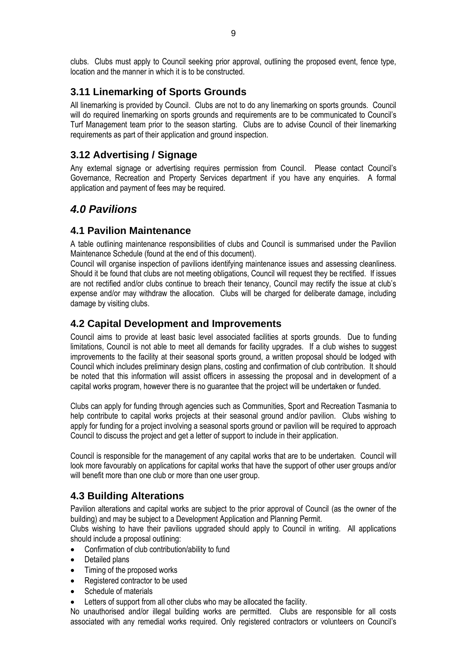clubs. Clubs must apply to Council seeking prior approval, outlining the proposed event, fence type, location and the manner in which it is to be constructed.

## <span id="page-12-0"></span>**3.11 Linemarking of Sports Grounds**

All linemarking is provided by Council. Clubs are not to do any linemarking on sports grounds. Council will do required linemarking on sports grounds and requirements are to be communicated to Council's Turf Management team prior to the season starting. Clubs are to advise Council of their linemarking requirements as part of their application and ground inspection.

## <span id="page-12-1"></span>**3.12 Advertising / Signage**

Any external signage or advertising requires permission from Council. Please contact Council's Governance, Recreation and Property Services department if you have any enquiries. A formal application and payment of fees may be required.

## <span id="page-12-2"></span>*4.0 Pavilions*

#### <span id="page-12-3"></span>**4.1 Pavilion Maintenance**

A table outlining maintenance responsibilities of clubs and Council is summarised under the Pavilion Maintenance Schedule (found at the end of this document).

Council will organise inspection of pavilions identifying maintenance issues and assessing cleanliness. Should it be found that clubs are not meeting obligations, Council will request they be rectified. If issues are not rectified and/or clubs continue to breach their tenancy, Council may rectify the issue at club's expense and/or may withdraw the allocation. Clubs will be charged for deliberate damage, including damage by visiting clubs.

#### <span id="page-12-4"></span>**4.2 Capital Development and Improvements**

Council aims to provide at least basic level associated facilities at sports grounds. Due to funding limitations, Council is not able to meet all demands for facility upgrades. If a club wishes to suggest improvements to the facility at their seasonal sports ground, a written proposal should be lodged with Council which includes preliminary design plans, costing and confirmation of club contribution. It should be noted that this information will assist officers in assessing the proposal and in development of a capital works program, however there is no guarantee that the project will be undertaken or funded.

Clubs can apply for funding through agencies such as Communities, Sport and Recreation Tasmania to help contribute to capital works projects at their seasonal ground and/or pavilion. Clubs wishing to apply for funding for a project involving a seasonal sports ground or pavilion will be required to approach Council to discuss the project and get a letter of support to include in their application.

Council is responsible for the management of any capital works that are to be undertaken. Council will look more favourably on applications for capital works that have the support of other user groups and/or will benefit more than one club or more than one user group.

## <span id="page-12-5"></span>**4.3 Building Alterations**

Pavilion alterations and capital works are subject to the prior approval of Council (as the owner of the building) and may be subject to a Development Application and Planning Permit.

Clubs wishing to have their pavilions upgraded should apply to Council in writing. All applications should include a proposal outlining:

- Confirmation of club contribution/ability to fund
- Detailed plans
- Timing of the proposed works
- Registered contractor to be used
- Schedule of materials
- Letters of support from all other clubs who may be allocated the facility.

No unauthorised and/or illegal building works are permitted. Clubs are responsible for all costs associated with any remedial works required. Only registered contractors or volunteers on Council's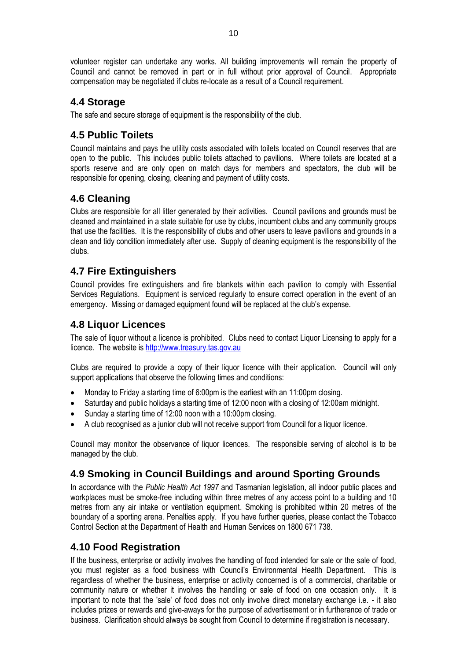volunteer register can undertake any works. All building improvements will remain the property of Council and cannot be removed in part or in full without prior approval of Council. Appropriate compensation may be negotiated if clubs re-locate as a result of a Council requirement.

## <span id="page-13-0"></span>**4.4 Storage**

The safe and secure storage of equipment is the responsibility of the club.

#### <span id="page-13-1"></span>**4.5 Public Toilets**

Council maintains and pays the utility costs associated with toilets located on Council reserves that are open to the public. This includes public toilets attached to pavilions. Where toilets are located at a sports reserve and are only open on match days for members and spectators, the club will be responsible for opening, closing, cleaning and payment of utility costs.

## <span id="page-13-2"></span>**4.6 Cleaning**

Clubs are responsible for all litter generated by their activities. Council pavilions and grounds must be cleaned and maintained in a state suitable for use by clubs, incumbent clubs and any community groups that use the facilities. It is the responsibility of clubs and other users to leave pavilions and grounds in a clean and tidy condition immediately after use. Supply of cleaning equipment is the responsibility of the clubs.

#### <span id="page-13-3"></span>**4.7 Fire Extinguishers**

Council provides fire extinguishers and fire blankets within each pavilion to comply with Essential Services Regulations. Equipment is serviced regularly to ensure correct operation in the event of an emergency. Missing or damaged equipment found will be replaced at the club's expense.

#### <span id="page-13-4"></span>**4.8 Liquor Licences**

The sale of liquor without a licence is prohibited. Clubs need to contact Liquor Licensing to apply for a licence. The website i[s http://www.treasury.tas.gov.au](http://www.treasury.tas.gov.au/)

Clubs are required to provide a copy of their liquor licence with their application. Council will only support applications that observe the following times and conditions:

- Monday to Friday a starting time of 6:00pm is the earliest with an 11:00pm closing.
- Saturday and public holidays a starting time of 12:00 noon with a closing of 12:00am midnight.
- Sunday a starting time of 12:00 noon with a 10:00pm closing.
- A club recognised as a junior club will not receive support from Council for a liquor licence.

Council may monitor the observance of liquor licences. The responsible serving of alcohol is to be managed by the club.

## <span id="page-13-5"></span>**4.9 Smoking in Council Buildings and around Sporting Grounds**

In accordance with the *Public Health Act 1997* and Tasmanian legislation, all indoor public places and workplaces must be smoke-free including within three metres of any access point to a building and 10 metres from any air intake or ventilation equipment. Smoking is prohibited within 20 metres of the boundary of a sporting arena. Penalties apply. If you have further queries, please contact the Tobacco Control Section at the Department of Health and Human Services on 1800 671 738.

## <span id="page-13-6"></span>**4.10 Food Registration**

If the business, enterprise or activity involves the handling of food intended for sale or the sale of food, you must register as a food business with Council's Environmental Health Department. This is regardless of whether the business, enterprise or activity concerned is of a commercial, charitable or community nature or whether it involves the handling or sale of food on one occasion only. It is important to note that the 'sale' of food does not only involve direct monetary exchange i.e. - it also includes prizes or rewards and give-aways for the purpose of advertisement or in furtherance of trade or business. Clarification should always be sought from Council to determine if registration is necessary.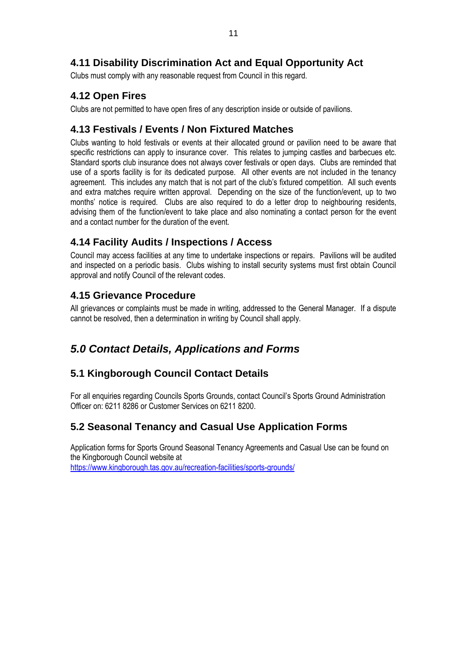## <span id="page-14-0"></span>**4.11 Disability Discrimination Act and Equal Opportunity Act**

Clubs must comply with any reasonable request from Council in this regard.

#### <span id="page-14-1"></span>**4.12 Open Fires**

Clubs are not permitted to have open fires of any description inside or outside of pavilions.

## <span id="page-14-2"></span>**4.13 Festivals / Events / Non Fixtured Matches**

Clubs wanting to hold festivals or events at their allocated ground or pavilion need to be aware that specific restrictions can apply to insurance cover. This relates to jumping castles and barbecues etc. Standard sports club insurance does not always cover festivals or open days. Clubs are reminded that use of a sports facility is for its dedicated purpose. All other events are not included in the tenancy agreement. This includes any match that is not part of the club's fixtured competition. All such events and extra matches require written approval. Depending on the size of the function/event, up to two months' notice is required. Clubs are also required to do a letter drop to neighbouring residents, advising them of the function/event to take place and also nominating a contact person for the event and a contact number for the duration of the event.

#### <span id="page-14-3"></span>**4.14 Facility Audits / Inspections / Access**

Council may access facilities at any time to undertake inspections or repairs. Pavilions will be audited and inspected on a periodic basis. Clubs wishing to install security systems must first obtain Council approval and notify Council of the relevant codes.

## <span id="page-14-4"></span>**4.15 Grievance Procedure**

All grievances or complaints must be made in writing, addressed to the General Manager. If a dispute cannot be resolved, then a determination in writing by Council shall apply.

## *5.0 Contact Details, Applications and Forms*

## **5.1 Kingborough Council Contact Details**

For all enquiries regarding Councils Sports Grounds, contact Council's Sports Ground Administration Officer on: 6211 8286 or Customer Services on 6211 8200.

## **5.2 Seasonal Tenancy and Casual Use Application Forms**

Application forms for Sports Ground Seasonal Tenancy Agreements and Casual Use can be found on the Kingborough Council website at <https://www.kingborough.tas.gov.au/recreation-facilities/sports-grounds/>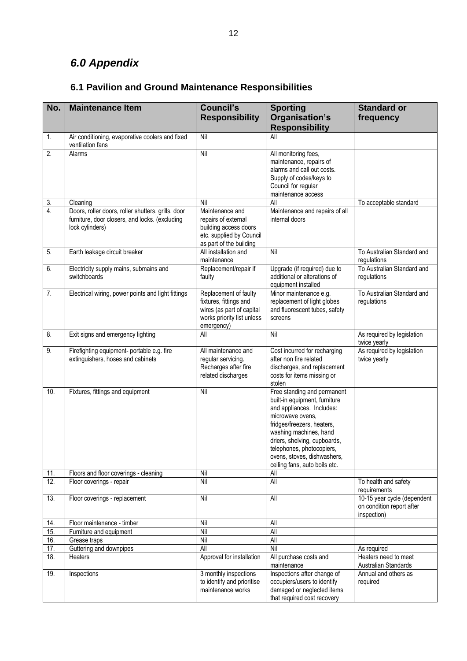## *6.0 Appendix*

#### **No. Maintenance Item Council's Responsibility Sporting Organisation's Responsibility Standard or frequency** 1. Air conditioning, evaporative coolers and fixed ventilation fans<br>Alarms Nil All 2. Alarms **Nil All monitoring fees,** maintenance, repairs of alarms and call out costs. Supply of codes/keys to Council for regular maintenance access 4. Doors, roller doors, roller shutters, grills, door furniture, door closers, and locks. (excluding lock cylinders) Maintenance and repairs of external building access doors etc. supplied by Council as part of the building Maintenance and repairs of all internal doors 5. Such the leakage circuit breaker All installation and maintenance 6. Electricity supply mains, submains and switchboards Replacement/repair if faulty Upgrade (if required) due to additional or alterations of equipment installed

#### **6.1 Pavilion and Ground Maintenance Responsibilities**

| $\overline{3}$ .  | Cleaning                                                                                                                | Nil                                                                                                                      | All                                                                                                                                                                                                                                                                                                | To acceptable standard                                                  |
|-------------------|-------------------------------------------------------------------------------------------------------------------------|--------------------------------------------------------------------------------------------------------------------------|----------------------------------------------------------------------------------------------------------------------------------------------------------------------------------------------------------------------------------------------------------------------------------------------------|-------------------------------------------------------------------------|
| 4.                | Doors, roller doors, roller shutters, grills, door<br>furniture, door closers, and locks. (excluding<br>lock cylinders) | Maintenance and<br>repairs of external<br>building access doors<br>etc. supplied by Council<br>as part of the building   | Maintenance and repairs of all<br>internal doors                                                                                                                                                                                                                                                   |                                                                         |
| 5.                | Earth leakage circuit breaker                                                                                           | All installation and<br>maintenance                                                                                      | Nil                                                                                                                                                                                                                                                                                                | To Australian Standard and<br>regulations                               |
| 6.                | Electricity supply mains, submains and<br>switchboards                                                                  | Replacement/repair if<br>faulty                                                                                          | Upgrade (if required) due to<br>additional or alterations of<br>equipment installed                                                                                                                                                                                                                | To Australian Standard and<br>regulations                               |
| 7.                | Electrical wiring, power points and light fittings                                                                      | Replacement of faulty<br>fixtures, fittings and<br>wires (as part of capital<br>works priority list unless<br>emergency) | Minor maintenance e.g.<br>replacement of light globes<br>and fluorescent tubes, safety<br>screens                                                                                                                                                                                                  | To Australian Standard and<br>regulations                               |
| 8.                | Exit signs and emergency lighting                                                                                       | All                                                                                                                      | Nil                                                                                                                                                                                                                                                                                                | As required by legislation<br>twice yearly                              |
| 9.                | Firefighting equipment- portable e.g. fire<br>extinguishers, hoses and cabinets                                         | All maintenance and<br>regular servicing.<br>Recharges after fire<br>related discharges                                  | Cost incurred for recharging<br>after non fire related<br>discharges, and replacement<br>costs for items missing or<br>stolen                                                                                                                                                                      | As required by legislation<br>twice yearly                              |
| 10.               | Fixtures, fittings and equipment                                                                                        | Nil                                                                                                                      | Free standing and permanent<br>built-in equipment, furniture<br>and appliances. Includes:<br>microwave ovens,<br>fridges/freezers, heaters,<br>washing machines, hand<br>driers, shelving, cupboards,<br>telephones, photocopiers,<br>ovens, stoves, dishwashers,<br>ceiling fans, auto boils etc. |                                                                         |
| 11.               | Floors and floor coverings - cleaning                                                                                   | Nil                                                                                                                      | All                                                                                                                                                                                                                                                                                                |                                                                         |
| 12.               | Floor coverings - repair                                                                                                | Nil                                                                                                                      | All                                                                                                                                                                                                                                                                                                | To health and safety<br>requirements                                    |
| 13.               | Floor coverings - replacement                                                                                           | Nil                                                                                                                      | All                                                                                                                                                                                                                                                                                                | 10-15 year cycle (dependent<br>on condition report after<br>inspection) |
| 14.               | Floor maintenance - timber                                                                                              | Nil                                                                                                                      | All                                                                                                                                                                                                                                                                                                |                                                                         |
| 15.               | Furniture and equipment                                                                                                 | Nil                                                                                                                      | All                                                                                                                                                                                                                                                                                                |                                                                         |
| 16.               | Grease traps                                                                                                            | Nil                                                                                                                      | <b>All</b>                                                                                                                                                                                                                                                                                         |                                                                         |
| $\overline{17}$ . | Guttering and downpipes                                                                                                 | <b>All</b>                                                                                                               | Nil                                                                                                                                                                                                                                                                                                | As required                                                             |
| 18.               | Heaters                                                                                                                 | Approval for installation                                                                                                | All purchase costs and<br>maintenance                                                                                                                                                                                                                                                              | Heaters need to meet<br>Australian Standards                            |
| 19.               | Inspections                                                                                                             | 3 monthly inspections<br>to identify and prioritise<br>maintenance works                                                 | Inspections after change of<br>occupiers/users to identify<br>damaged or neglected items<br>that required cost recovery                                                                                                                                                                            | Annual and others as<br>required                                        |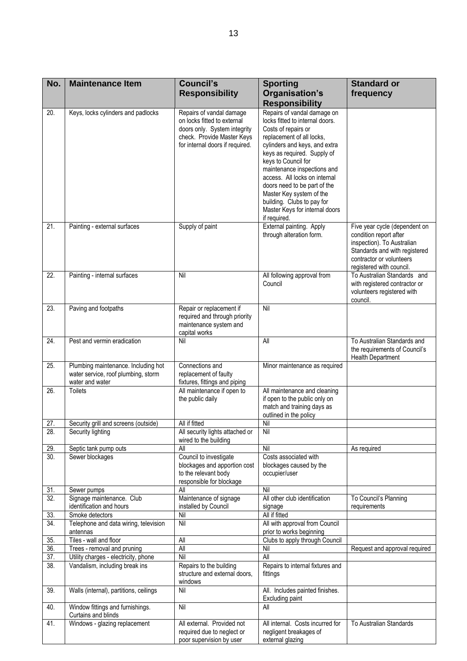| No.               | <b>Maintenance Item</b>                                                                       | <b>Council's</b><br><b>Responsibility</b>                                                                                                                | <b>Sporting</b><br>Organisation's<br><b>Responsibility</b>                                                                                                                                                                                                                                                                                                                                                            | <b>Standard or</b><br>frequency                                                                                                                                                |
|-------------------|-----------------------------------------------------------------------------------------------|----------------------------------------------------------------------------------------------------------------------------------------------------------|-----------------------------------------------------------------------------------------------------------------------------------------------------------------------------------------------------------------------------------------------------------------------------------------------------------------------------------------------------------------------------------------------------------------------|--------------------------------------------------------------------------------------------------------------------------------------------------------------------------------|
| 20.               | Keys, locks cylinders and padlocks                                                            | Repairs of vandal damage<br>on locks fitted to external<br>doors only. System integrity<br>check. Provide Master Keys<br>for internal doors if required. | Repairs of vandal damage on<br>locks fitted to internal doors.<br>Costs of repairs or<br>replacement of all locks,<br>cylinders and keys, and extra<br>keys as required. Supply of<br>keys to Council for<br>maintenance inspections and<br>access. All locks on internal<br>doors need to be part of the<br>Master Key system of the<br>building. Clubs to pay for<br>Master Keys for internal doors<br>if required. |                                                                                                                                                                                |
| $\overline{21}$   | Painting - external surfaces                                                                  | Supply of paint                                                                                                                                          | External painting. Apply<br>through alteration form.                                                                                                                                                                                                                                                                                                                                                                  | Five year cycle (dependent on<br>condition report after<br>inspection). To Australian<br>Standards and with registered<br>contractor or volunteers<br>registered with council. |
| $\overline{22}$ . | Painting - internal surfaces                                                                  | Nil                                                                                                                                                      | All following approval from<br>Council                                                                                                                                                                                                                                                                                                                                                                                | To Australian Standards and<br>with registered contractor or<br>volunteers registered with<br>council.                                                                         |
| 23.               | Paving and footpaths                                                                          | Repair or replacement if<br>required and through priority<br>maintenance system and<br>capital works                                                     | Nil                                                                                                                                                                                                                                                                                                                                                                                                                   |                                                                                                                                                                                |
| 24.               | Pest and vermin eradication                                                                   | Nil                                                                                                                                                      | All                                                                                                                                                                                                                                                                                                                                                                                                                   | To Australian Standards and<br>the requirements of Council's<br><b>Health Department</b>                                                                                       |
| 25.               | Plumbing maintenance. Including hot<br>water service, roof plumbing, storm<br>water and water | Connections and<br>replacement of faulty<br>fixtures, fittings and piping                                                                                | Minor maintenance as required                                                                                                                                                                                                                                                                                                                                                                                         |                                                                                                                                                                                |
| 26.               | <b>Toilets</b>                                                                                | All maintenance if open to<br>the public daily                                                                                                           | All maintenance and cleaning<br>if open to the public only on<br>match and training days as<br>outlined in the policy                                                                                                                                                                                                                                                                                                 |                                                                                                                                                                                |
| 27.               | Security grill and screens (outside)                                                          | All if fitted                                                                                                                                            | Nil                                                                                                                                                                                                                                                                                                                                                                                                                   |                                                                                                                                                                                |
| 28.               | Security lighting                                                                             | All security lights attached or<br>wired to the building                                                                                                 | Nil                                                                                                                                                                                                                                                                                                                                                                                                                   |                                                                                                                                                                                |
| 29.               | Septic tank pump outs                                                                         | All                                                                                                                                                      | Nil                                                                                                                                                                                                                                                                                                                                                                                                                   | As required                                                                                                                                                                    |
| $\overline{30}$ . | Sewer blockages                                                                               | Council to investigate<br>blockages and apportion cost<br>to the relevant body<br>responsible for blockage                                               | Costs associated with<br>blockages caused by the<br>occupier/user                                                                                                                                                                                                                                                                                                                                                     |                                                                                                                                                                                |
| 31.               | Sewer pumps                                                                                   | All                                                                                                                                                      | Nil                                                                                                                                                                                                                                                                                                                                                                                                                   |                                                                                                                                                                                |
| $\overline{32}$ . | Signage maintenance. Club<br>identification and hours                                         | Maintenance of signage<br>installed by Council                                                                                                           | All other club identification<br>signage                                                                                                                                                                                                                                                                                                                                                                              | To Council's Planning<br>requirements                                                                                                                                          |
| 33.               | Smoke detectors                                                                               | Nil                                                                                                                                                      | All if fitted                                                                                                                                                                                                                                                                                                                                                                                                         |                                                                                                                                                                                |
| 34.               | Telephone and data wiring, television<br>antennas                                             | Nil                                                                                                                                                      | All with approval from Council<br>prior to works beginning                                                                                                                                                                                                                                                                                                                                                            |                                                                                                                                                                                |
| 35.               | Tiles - wall and floor                                                                        | All                                                                                                                                                      | Clubs to apply through Council                                                                                                                                                                                                                                                                                                                                                                                        |                                                                                                                                                                                |
| 36.               | Trees - removal and pruning                                                                   | All                                                                                                                                                      | Nil                                                                                                                                                                                                                                                                                                                                                                                                                   | Request and approval required                                                                                                                                                  |
| 37.<br>38.        | Utility charges - electricity, phone<br>Vandalism, including break ins                        | Nil<br>Repairs to the building<br>structure and external doors,<br>windows                                                                               | All<br>Repairs to internal fixtures and<br>fittings                                                                                                                                                                                                                                                                                                                                                                   |                                                                                                                                                                                |
| 39.               | Walls (internal), partitions, ceilings                                                        | Nil                                                                                                                                                      | All. Includes painted finishes.<br>Excluding paint                                                                                                                                                                                                                                                                                                                                                                    |                                                                                                                                                                                |
| 40.               | Window fittings and furnishings.<br>Curtains and blinds                                       | Nil                                                                                                                                                      | All                                                                                                                                                                                                                                                                                                                                                                                                                   |                                                                                                                                                                                |
| 41.               | Windows - glazing replacement                                                                 | All external. Provided not<br>required due to neglect or                                                                                                 | All internal. Costs incurred for<br>negligent breakages of                                                                                                                                                                                                                                                                                                                                                            | To Australian Standards                                                                                                                                                        |

poor supervision by user

external glazing